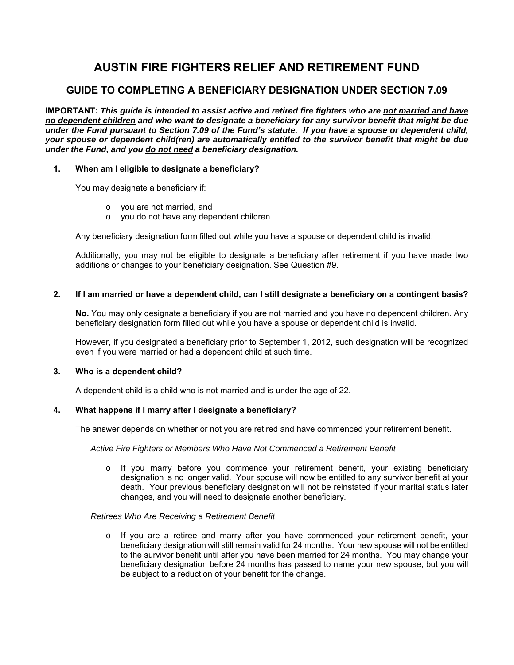# **AUSTIN FIRE FIGHTERS RELIEF AND RETIREMENT FUND**

# **GUIDE TO COMPLETING A BENEFICIARY DESIGNATION UNDER SECTION 7.09**

**IMPORTANT:** *This guide is intended to assist active and retired fire fighters who are not married and have no dependent children and who want to designate a beneficiary for any survivor benefit that might be due under the Fund pursuant to Section 7.09 of the Fund's statute. If you have a spouse or dependent child, your spouse or dependent child(ren) are automatically entitled to the survivor benefit that might be due under the Fund, and you do not need a beneficiary designation.* 

# **1. When am I eligible to designate a beneficiary?**

You may designate a beneficiary if:

- o you are not married, and
- o you do not have any dependent children.

Any beneficiary designation form filled out while you have a spouse or dependent child is invalid.

Additionally, you may not be eligible to designate a beneficiary after retirement if you have made two additions or changes to your beneficiary designation. See Question #9.

# **2. If I am married or have a dependent child, can I still designate a beneficiary on a contingent basis?**

**No.** You may only designate a beneficiary if you are not married and you have no dependent children. Any beneficiary designation form filled out while you have a spouse or dependent child is invalid.

However, if you designated a beneficiary prior to September 1, 2012, such designation will be recognized even if you were married or had a dependent child at such time.

# **3. Who is a dependent child?**

A dependent child is a child who is not married and is under the age of 22.

# **4. What happens if I marry after I designate a beneficiary?**

The answer depends on whether or not you are retired and have commenced your retirement benefit.

#### *Active Fire Fighters or Members Who Have Not Commenced a Retirement Benefit*

o If you marry before you commence your retirement benefit, your existing beneficiary designation is no longer valid. Your spouse will now be entitled to any survivor benefit at your death. Your previous beneficiary designation will not be reinstated if your marital status later changes, and you will need to designate another beneficiary.

#### *Retirees Who Are Receiving a Retirement Benefit*

o If you are a retiree and marry after you have commenced your retirement benefit, your beneficiary designation will still remain valid for 24 months. Your new spouse will not be entitled to the survivor benefit until after you have been married for 24 months. You may change your beneficiary designation before 24 months has passed to name your new spouse, but you will be subject to a reduction of your benefit for the change.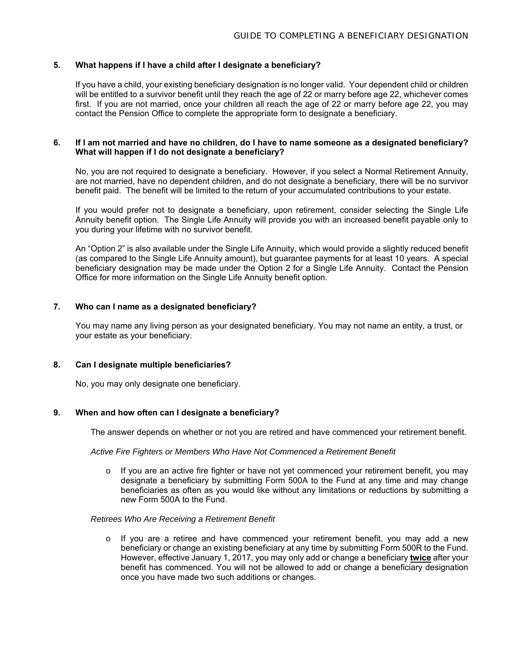#### **5. What happens if I have a child after I designate a beneficiary?**

If you have a child, your existing beneficiary designation is no longer valid. Your dependent child or children will be entitled to a survivor benefit until they reach the age of 22 or marry before age 22, whichever comes first. If you are not married, once your children all reach the age of 22 or marry before age 22, you may contact the Pension Office to complete the appropriate form to designate a beneficiary.

#### **6. If I am not married and have no children, do I have to name someone as a designated beneficiary? What will happen if I do not designate a beneficiary?**

No, you are not required to designate a beneficiary. However, if you select a Normal Retirement Annuity, are not married, have no dependent children, and do not designate a beneficiary, there will be no survivor benefit paid. The benefit will be limited to the return of your accumulated contributions to your estate.

If you would prefer not to designate a beneficiary, upon retirement, consider selecting the Single Life Annuity benefit option. The Single Life Annuity will provide you with an increased benefit payable only to you during your lifetime with no survivor benefit.

An "Option 2" is also available under the Single Life Annuity, which would provide a slightly reduced benefit (as compared to the Single Life Annuity amount), but guarantee payments for at least 10 years. A special beneficiary designation may be made under the Option 2 for a Single Life Annuity. Contact the Pension Office for more information on the Single Life Annuity benefit option.

# **7. Who can I name as a designated beneficiary?**

You may name any living person as your designated beneficiary. You may not name an entity, a trust, or your estate as your beneficiary.

#### **8. Can I designate multiple beneficiaries?**

No, you may only designate one beneficiary.

#### **9. When and how often can I designate a beneficiary?**

The answer depends on whether or not you are retired and have commenced your retirement benefit.

#### *Active Fire Fighters or Members Who Have Not Commenced a Retirement Benefit*

 $\circ$  If you are an active fire fighter or have not yet commenced your retirement benefit, you may designate a beneficiary by submitting Form 500A to the Fund at any time and may change beneficiaries as often as you would like without any limitations or reductions by submitting a new Form 500A to the Fund.

#### *Retirees Who Are Receiving a Retirement Benefit*

 $\circ$  If you are a retiree and have commenced your retirement benefit, you may add a new beneficiary or change an existing beneficiary at any time by submitting Form 500R to the Fund. However, effective January 1, 2017, you may only add or change a beneficiary **twice** after your benefit has commenced. You will not be allowed to add or change a beneficiary designation once you have made two such additions or changes.